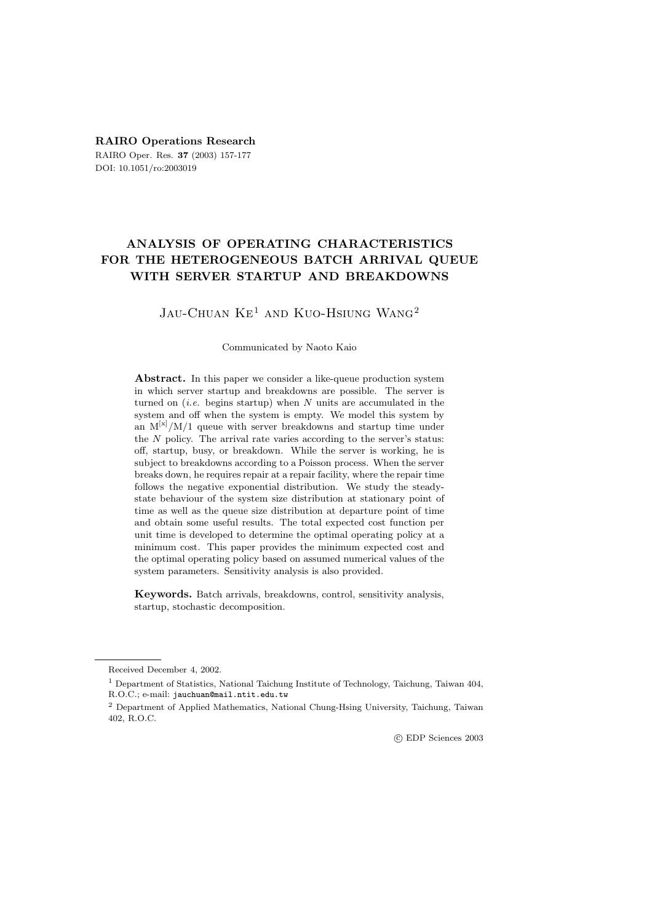# **RAIRO Operations Research**

RAIRO Oper. Res. **37** (2003) 157-177 DOI: 10.1051/ro:2003019

# **ANALYSIS OF OPERATING CHARACTERISTICS FOR THE HETEROGENEOUS BATCH ARRIVAL QUEUE WITH SERVER STARTUP AND BREAKDOWNS**

# JAU-CHUAN  $KE^1$  AND KUO-HSIUNG WANG<sup>2</sup>

#### Communicated by Naoto Kaio

**Abstract.** In this paper we consider a like-queue production system in which server startup and breakdowns are possible. The server is turned on  $(i.e.$  begins startup) when N units are accumulated in the system and off when the system is empty. We model this system by an  $M^{[x]}/M/1$  queue with server breakdowns and startup time under the  $N$  policy. The arrival rate varies according to the server's status: off, startup, busy, or breakdown. While the server is working, he is subject to breakdowns according to a Poisson process. When the server breaks down, he requires repair at a repair facility, where the repair time follows the negative exponential distribution. We study the steadystate behaviour of the system size distribution at stationary point of time as well as the queue size distribution at departure point of time and obtain some useful results. The total expected cost function per unit time is developed to determine the optimal operating policy at a minimum cost. This paper provides the minimum expected cost and the optimal operating policy based on assumed numerical values of the system parameters. Sensitivity analysis is also provided.

**Keywords.** Batch arrivals, breakdowns, control, sensitivity analysis, startup, stochastic decomposition.

c EDP Sciences 2003

Received December 4, 2002.

<sup>1</sup> Department of Statistics, National Taichung Institute of Technology, Taichung, Taiwan 404, R.O.C.; e-mail: jauchuan@mail.ntit.edu.tw

<sup>2</sup> Department of Applied Mathematics, National Chung-Hsing University, Taichung, Taiwan 402, R.O.C.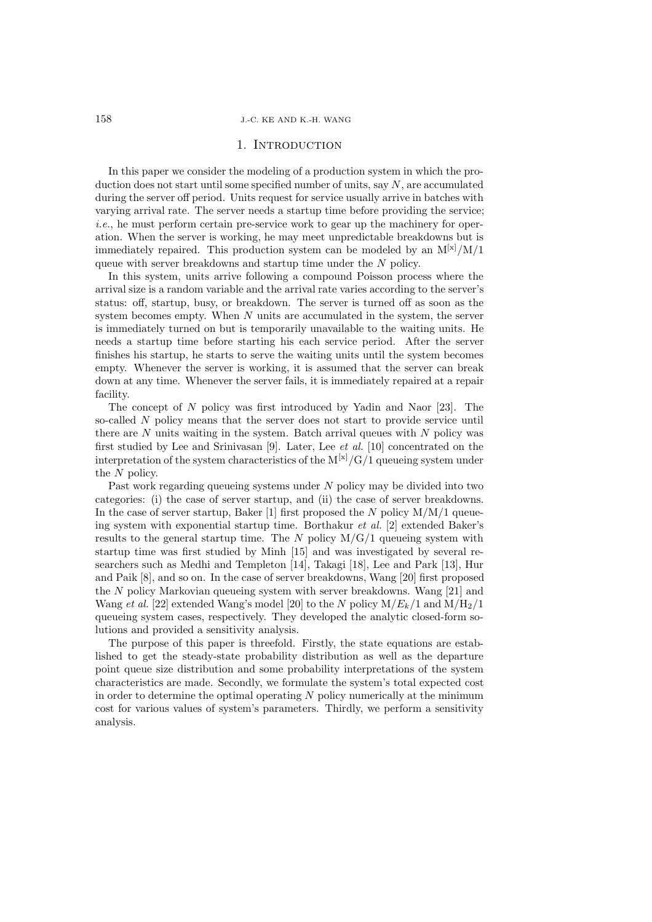# 1. Introduction

In this paper we consider the modeling of a production system in which the production does not start until some specified number of units, say  $N$ , are accumulated during the server off period. Units request for service usually arrive in batches with varying arrival rate. The server needs a startup time before providing the service; *i.e.*, he must perform certain pre-service work to gear up the machinery for operation. When the server is working, he may meet unpredictable breakdowns but is immediately repaired. This production system can be modeled by an  $M^{[x]}/M/1$ queue with server breakdowns and startup time under the N policy.

In this system, units arrive following a compound Poisson process where the arrival size is a random variable and the arrival rate varies according to the server's status: off, startup, busy, or breakdown. The server is turned off as soon as the system becomes empty. When  $N$  units are accumulated in the system, the server is immediately turned on but is temporarily unavailable to the waiting units. He needs a startup time before starting his each service period. After the server finishes his startup, he starts to serve the waiting units until the system becomes empty. Whenever the server is working, it is assumed that the server can break down at any time. Whenever the server fails, it is immediately repaired at a repair facility.

The concept of N policy was first introduced by Yadin and Naor [23]. The so-called N policy means that the server does not start to provide service until there are  $N$  units waiting in the system. Batch arrival queues with  $N$  policy was first studied by Lee and Srinivasan [9]. Later, Lee *et al.* [10] concentrated on the interpretation of the system characteristics of the  $M^{[x]}/G/1$  queueing system under the N policy.

Past work regarding queueing systems under N policy may be divided into two categories: (i) the case of server startup, and (ii) the case of server breakdowns. In the case of server startup, Baker [1] first proposed the N policy  $M/M/1$  queueing system with exponential startup time. Borthakur *et al.* [2] extended Baker's results to the general startup time. The N policy  $M/G/1$  queueing system with startup time was first studied by Minh [15] and was investigated by several researchers such as Medhi and Templeton [14], Takagi [18], Lee and Park [13], Hur and Paik [8], and so on. In the case of server breakdowns, Wang [20] first proposed the N policy Markovian queueing system with server breakdowns. Wang [21] and Wang *et al.* [22] extended Wang's model [20] to the N policy  $M/E_k/1$  and  $M/H_2/1$ queueing system cases, respectively. They developed the analytic closed-form solutions and provided a sensitivity analysis.

The purpose of this paper is threefold. Firstly, the state equations are established to get the steady-state probability distribution as well as the departure point queue size distribution and some probability interpretations of the system characteristics are made. Secondly, we formulate the system's total expected cost in order to determine the optimal operating  $N$  policy numerically at the minimum cost for various values of system's parameters. Thirdly, we perform a sensitivity analysis.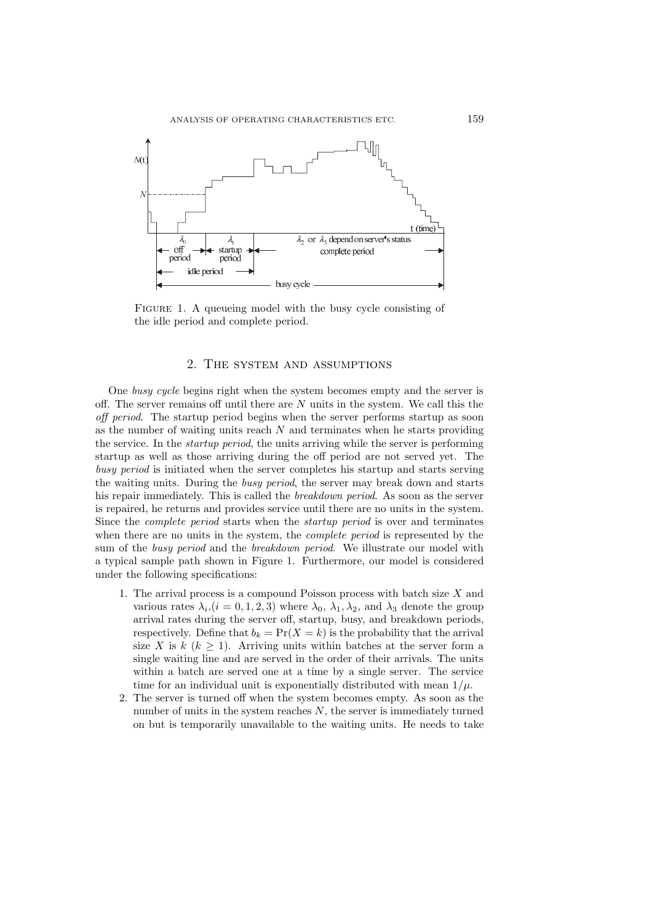

FIGURE 1. A queueing model with the busy cycle consisting of the idle period and complete period.

#### 2. The system and assumptions

One *busy cycle* begins right when the system becomes empty and the server is off. The server remains off until there are  $N$  units in the system. We call this the *off period*. The startup period begins when the server performs startup as soon as the number of waiting units reach  $N$  and terminates when he starts providing the service. In the *startup period*, the units arriving while the server is performing startup as well as those arriving during the off period are not served yet. The *busy period* is initiated when the server completes his startup and starts serving the waiting units. During the *busy period*, the server may break down and starts his repair immediately. This is called the *breakdown period*. As soon as the server is repaired, he returns and provides service until there are no units in the system. Since the *complete period* starts when the *startup period* is over and terminates when there are no units in the system, the *complete period* is represented by the sum of the *busy period* and the *breakdown period*. We illustrate our model with a typical sample path shown in Figure 1. Furthermore, our model is considered under the following specifications:

- 1. The arrival process is a compound Poisson process with batch size  $X$  and various rates  $\lambda_i$ ,  $(i = 0, 1, 2, 3)$  where  $\lambda_0$ ,  $\lambda_1$ ,  $\lambda_2$ , and  $\lambda_3$  denote the group arrival rates during the server off, startup, busy, and breakdown periods, respectively. Define that  $b_k = \Pr(X = k)$  is the probability that the arrival size X is k  $(k \geq 1)$ . Arriving units within batches at the server form a single waiting line and are served in the order of their arrivals. The units within a batch are served one at a time by a single server. The service time for an individual unit is exponentially distributed with mean  $1/\mu$ .
- 2. The server is turned off when the system becomes empty. As soon as the number of units in the system reaches  $N$ , the server is immediately turned on but is temporarily unavailable to the waiting units. He needs to take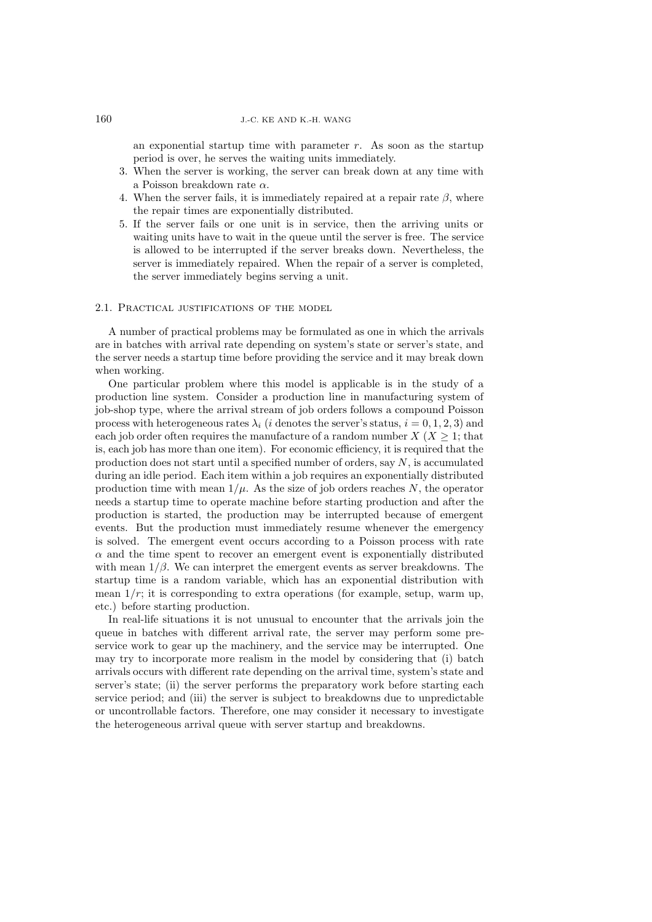an exponential startup time with parameter  $r$ . As soon as the startup period is over, he serves the waiting units immediately.

- 3. When the server is working, the server can break down at any time with a Poisson breakdown rate  $\alpha$ .
- 4. When the server fails, it is immediately repaired at a repair rate  $\beta$ , where the repair times are exponentially distributed.
- 5. If the server fails or one unit is in service, then the arriving units or waiting units have to wait in the queue until the server is free. The service is allowed to be interrupted if the server breaks down. Nevertheless, the server is immediately repaired. When the repair of a server is completed, the server immediately begins serving a unit.

#### 2.1. PRACTICAL JUSTIFICATIONS OF THE MODEL

A number of practical problems may be formulated as one in which the arrivals are in batches with arrival rate depending on system's state or server's state, and the server needs a startup time before providing the service and it may break down when working.

One particular problem where this model is applicable is in the study of a production line system. Consider a production line in manufacturing system of job-shop type, where the arrival stream of job orders follows a compound Poisson process with heterogeneous rates  $\lambda_i$  (*i* denotes the server's status,  $i = 0, 1, 2, 3$ ) and each job order often requires the manufacture of a random number  $X(X \geq 1$ ; that is, each job has more than one item). For economic efficiency, it is required that the production does not start until a specified number of orders, say  $N$ , is accumulated during an idle period. Each item within a job requires an exponentially distributed production time with mean  $1/\mu$ . As the size of job orders reaches N, the operator needs a startup time to operate machine before starting production and after the production is started, the production may be interrupted because of emergent events. But the production must immediately resume whenever the emergency is solved. The emergent event occurs according to a Poisson process with rate  $\alpha$  and the time spent to recover an emergent event is exponentially distributed with mean  $1/\beta$ . We can interpret the emergent events as server breakdowns. The startup time is a random variable, which has an exponential distribution with mean  $1/r$ ; it is corresponding to extra operations (for example, setup, warm up, etc.) before starting production.

In real-life situations it is not unusual to encounter that the arrivals join the queue in batches with different arrival rate, the server may perform some preservice work to gear up the machinery, and the service may be interrupted. One may try to incorporate more realism in the model by considering that (i) batch arrivals occurs with different rate depending on the arrival time, system's state and server's state; (ii) the server performs the preparatory work before starting each service period; and (iii) the server is subject to breakdowns due to unpredictable or uncontrollable factors. Therefore, one may consider it necessary to investigate the heterogeneous arrival queue with server startup and breakdowns.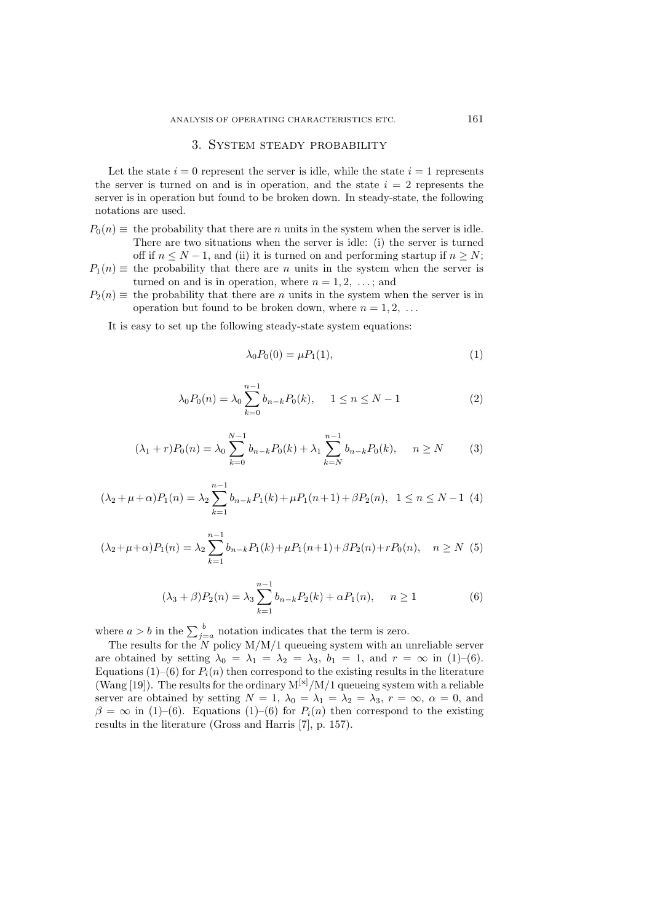### 3. System steady probability

Let the state  $i = 0$  represent the server is idle, while the state  $i = 1$  represents the server is turned on and is in operation, and the state  $i = 2$  represents the server is in operation but found to be broken down. In steady-state, the following notations are used.

- $P_0(n) \equiv$  the probability that there are n units in the system when the server is idle. There are two situations when the server is idle: (i) the server is turned off if  $n \leq N-1$ , and (ii) it is turned on and performing startup if  $n \geq N$ ;
- $P_1(n) \equiv$  the probability that there are *n* units in the system when the server is turned on and is in operation, where  $n = 1, 2, \ldots$ ; and
- $P_2(n) \equiv$  the probability that there are n units in the system when the server is in operation but found to be broken down, where  $n = 1, 2, \ldots$

It is easy to set up the following steady-state system equations:

$$
\lambda_0 P_0(0) = \mu P_1(1),\tag{1}
$$

$$
\lambda_0 P_0(n) = \lambda_0 \sum_{k=0}^{n-1} b_{n-k} P_0(k), \quad 1 \le n \le N-1
$$
 (2)

$$
(\lambda_1 + r)P_0(n) = \lambda_0 \sum_{k=0}^{N-1} b_{n-k} P_0(k) + \lambda_1 \sum_{k=N}^{n-1} b_{n-k} P_0(k), \quad n \ge N \tag{3}
$$

$$
(\lambda_2 + \mu + \alpha)P_1(n) = \lambda_2 \sum_{k=1}^{n-1} b_{n-k} P_1(k) + \mu P_1(n+1) + \beta P_2(n), \quad 1 \le n \le N-1 \tag{4}
$$

$$
(\lambda_2 + \mu + \alpha)P_1(n) = \lambda_2 \sum_{k=1}^{n-1} b_{n-k} P_1(k) + \mu P_1(n+1) + \beta P_2(n) + r P_0(n), \quad n \ge N \tag{5}
$$

$$
(\lambda_3 + \beta)P_2(n) = \lambda_3 \sum_{k=1}^{n-1} b_{n-k} P_2(k) + \alpha P_1(n), \quad n \ge 1
$$
 (6)

where  $a > b$  in the  $\sum_{j=a}^{b}$  notation indicates that the term is zero.

The results for the  $N$  policy  $M/M/1$  queueing system with an unreliable server are obtained by setting  $\lambda_0 = \lambda_1 = \lambda_2 = \lambda_3$ ,  $b_1 = 1$ , and  $r = \infty$  in (1)–(6). Equations (1)–(6) for  $P_i(n)$  then correspond to the existing results in the literature (Wang [19]). The results for the ordinary  $M^{[x]}/M/1$  queueing system with a reliable server are obtained by setting  $N = 1$ ,  $\lambda_0 = \lambda_1 = \lambda_2 = \lambda_3$ ,  $r = \infty$ ,  $\alpha = 0$ , and  $\beta = \infty$  in (1)–(6). Equations (1)–(6) for  $P_i(n)$  then correspond to the existing results in the literature (Gross and Harris [7], p. 157).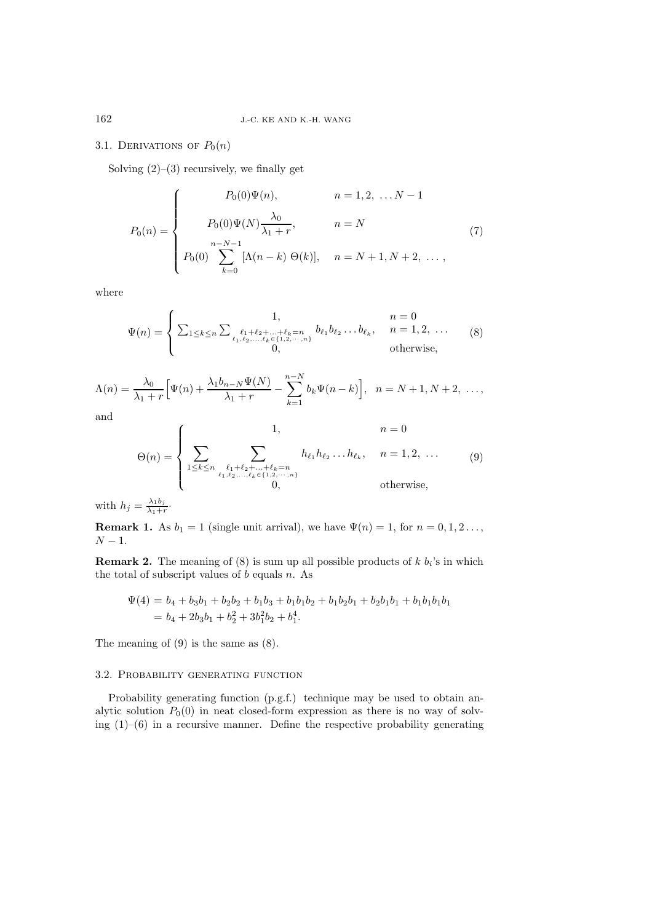# 3.1. DERIVATIONS OF  $P_0(n)$

Solving  $(2)$ – $(3)$  recursively, we finally get

$$
P_0(n) = \begin{cases} P_0(0)\Psi(n), & n = 1, 2, \dots N - 1 \\ P_0(0)\Psi(N)\frac{\lambda_0}{\lambda_1 + r}, & n = N \\ P_0(0) \sum_{k=0}^{n-N-1} [\Lambda(n-k) \Theta(k)], & n = N + 1, N + 2, \dots, \end{cases}
$$
(7)

where

$$
\Psi(n) = \begin{cases}\n1, & n = 0 \\
\sum_{1 \le k \le n} \sum_{\substack{\ell_1 + \ell_2 + \ldots + \ell_k = n \\ \ell_1, \ell_2, \ldots, \ell_k \in \{1, 2, \ldots, n\} \\ 0, & \text{otherwise,} \end{cases}
$$
\n(8)

$$
\Lambda(n) = \frac{\lambda_0}{\lambda_1 + r} \Big[ \Psi(n) + \frac{\lambda_1 b_{n-N} \Psi(N)}{\lambda_1 + r} - \sum_{k=1}^{n-N} b_k \Psi(n-k) \Big], \quad n = N+1, N+2, \dots,
$$

and

$$
\Theta(n) = \begin{cases}\n1, & n = 0 \\
\sum_{1 \le k \le n} \sum_{\substack{\ell_1 + \ell_2 + \dots + \ell_k = n \\ \ell_1, \ell_2, \dots, \ell_k \in \{1, 2, \dots, n\} \\ 0, & \text{otherwise,} \end{cases}
$$
\n(9)

with  $h_j = \frac{\lambda_1 b_j}{\lambda_1 + r}$ .

**Remark 1.** As  $b_1 = 1$  (single unit arrival), we have  $\Psi(n) = 1$ , for  $n = 0, 1, 2 \ldots$ ,  $N-1$ .

**Remark 2.** The meaning of  $(8)$  is sum up all possible products of  $k$   $b_i$ 's in which the total of subscript values of  $b$  equals  $n$ . As

$$
\Psi(4) = b_4 + b_3b_1 + b_2b_2 + b_1b_3 + b_1b_1b_2 + b_1b_2b_1 + b_2b_1b_1 + b_1b_1b_1b_1
$$
  
=  $b_4 + 2b_3b_1 + b_2^2 + 3b_1^2b_2 + b_1^4$ .

The meaning of (9) is the same as (8).

#### 3.2. Probability generating function

Probability generating function (p.g.f.) technique may be used to obtain analytic solution  $P_0(0)$  in neat closed-form expression as there is no way of solving  $(1)$ – $(6)$  in a recursive manner. Define the respective probability generating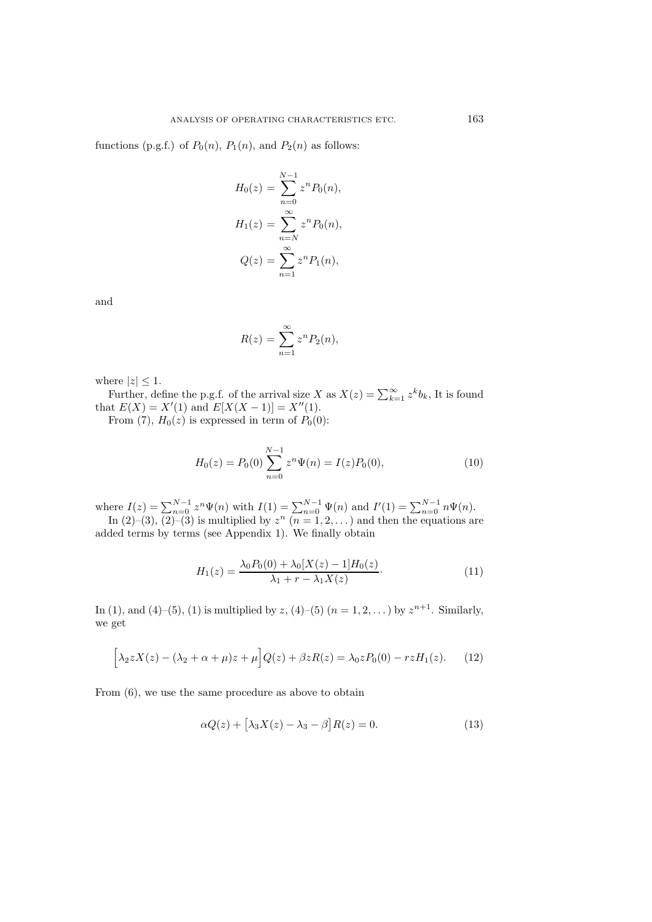functions (p.g.f.) of  $P_0(n)$ ,  $P_1(n)$ , and  $P_2(n)$  as follows:

$$
H_0(z) = \sum_{n=0}^{N-1} z^n P_0(n),
$$
  
\n
$$
H_1(z) = \sum_{n=N}^{\infty} z^n P_0(n),
$$
  
\n
$$
Q(z) = \sum_{n=1}^{\infty} z^n P_1(n),
$$

and

$$
R(z) = \sum_{n=1}^{\infty} z^n P_2(n),
$$

where  $|z| \leq 1$ .

Further, define the p.g.f. of the arrival size X as  $X(z) = \sum_{k=1}^{\infty} z^k b_k$ , It is found that  $E(X) = X'(1)$  and  $E[X(X-1)] = X''(1)$ .

From (7),  $H_0(z)$  is expressed in term of  $P_0(0)$ :

$$
H_0(z) = P_0(0) \sum_{n=0}^{N-1} z^n \Psi(n) = I(z) P_0(0),
$$
\n(10)

where  $I(z) = \sum_{n=0}^{N-1} z^n \Psi(n)$  with  $I(1) = \sum_{n=0}^{N-1} \Psi(n)$  and  $I'(1) = \sum_{n=0}^{N-1} n \Psi(n)$ . In (2)–(3), (2)–(3) is multiplied by  $z^n$  ( $n = 1, 2, ...$ ) and then the equations are

added terms by terms (see Appendix 1). We finally obtain

$$
H_1(z) = \frac{\lambda_0 P_0(0) + \lambda_0 [X(z) - 1] H_0(z)}{\lambda_1 + r - \lambda_1 X(z)}.
$$
\n(11)

In (1), and (4)–(5), (1) is multiplied by z, (4)–(5)  $(n = 1, 2, ...)$  by  $z^{n+1}$ . Similarly, we get

$$
\[\lambda_2 z X(z) - (\lambda_2 + \alpha + \mu) z + \mu\] Q(z) + \beta z R(z) = \lambda_0 z P_0(0) - r z H_1(z). \tag{12}
$$

From (6), we use the same procedure as above to obtain

$$
\alpha Q(z) + \left[\lambda_3 X(z) - \lambda_3 - \beta\right] R(z) = 0. \tag{13}
$$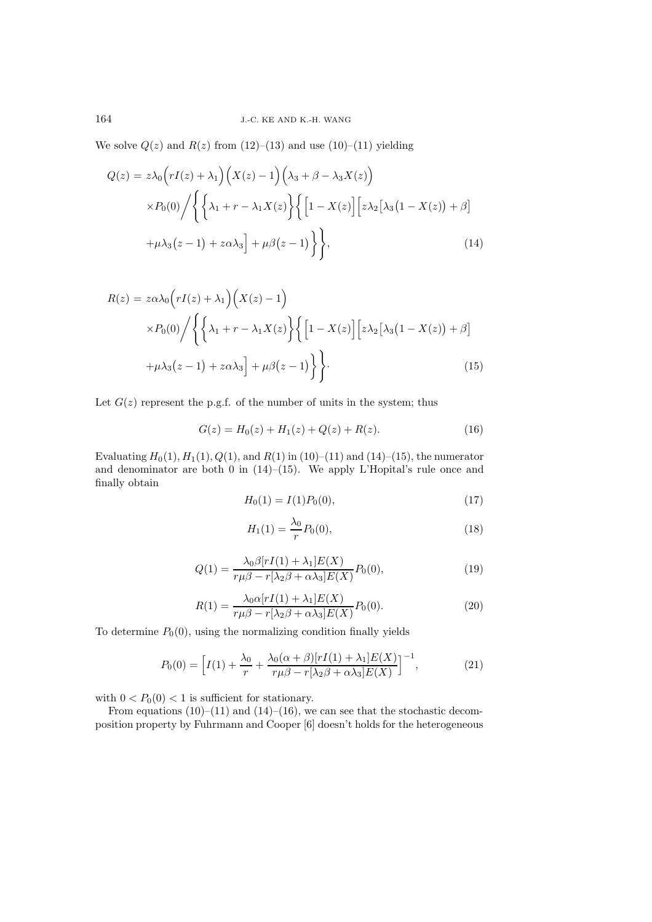We solve  $Q(z)$  and  $R(z)$  from  $(12)$ – $(13)$  and use  $(10)$ – $(11)$  yielding

$$
Q(z) = z\lambda_0 \left(rI(z) + \lambda_1\right) \left(X(z) - 1\right) \left(\lambda_3 + \beta - \lambda_3 X(z)\right)
$$

$$
\times P_0(0) / \left\{ \left\{\lambda_1 + r - \lambda_1 X(z)\right\} \left\{ \left[1 - X(z)\right] \left[z\lambda_2 \left[\lambda_3 \left(1 - X(z)\right) + \beta\right] + \mu \lambda_3 (z - 1) + z\alpha \lambda_3\right] + \mu \beta (z - 1) \right\} \right\},\tag{14}
$$

$$
R(z) = z\alpha\lambda_0 \left(rI(z) + \lambda_1\right) \left(X(z) - 1\right)
$$
  
 
$$
\times P_0(0) / \left\{ \left\{\lambda_1 + r - \lambda_1 X(z) \right\} \left\{ \left[1 - X(z)\right] \left[z\lambda_2 \left[\lambda_3 \left(1 - X(z)\right) + \beta\right] + \mu \lambda_3 (z - 1) + z\alpha\lambda_3\right] + \mu \beta (z - 1) \right\} \right\}.
$$
 (15)

Let  $G(z)$  represent the p.g.f. of the number of units in the system; thus

$$
G(z) = H_0(z) + H_1(z) + Q(z) + R(z).
$$
 (16)

Evaluating  $H_0(1), H_1(1), Q(1)$ , and  $R(1)$  in (10)–(11) and (14)–(15), the numerator and denominator are both 0 in  $(14)$ – $(15)$ . We apply L'Hopital's rule once and finally obtain

$$
H_0(1) = I(1)P_0(0),\tag{17}
$$

$$
H_1(1) = \frac{\lambda_0}{r} P_0(0),\tag{18}
$$

$$
Q(1) = \frac{\lambda_0 \beta [rI(1) + \lambda_1] E(X)}{r\mu \beta - r[\lambda_2 \beta + \alpha \lambda_3] E(X)} P_0(0),
$$
\n(19)

$$
R(1) = \frac{\lambda_0 \alpha [rI(1) + \lambda_1] E(X)}{r\mu \beta - r[\lambda_2 \beta + \alpha \lambda_3] E(X)} P_0(0).
$$
\n
$$
(20)
$$

To determine  $P_0(0)$ , using the normalizing condition finally yields

$$
P_0(0) = \left[ I(1) + \frac{\lambda_0}{r} + \frac{\lambda_0(\alpha + \beta)[rI(1) + \lambda_1]E(X)}{r\mu\beta - r[\lambda_2\beta + \alpha\lambda_3]E(X)} \right]^{-1},
$$
\n(21)

with  $0 < P_0(0) < 1$  is sufficient for stationary.

From equations  $(10)$ – $(11)$  and  $(14)$ – $(16)$ , we can see that the stochastic decomposition property by Fuhrmann and Cooper [6] doesn't holds for the heterogeneous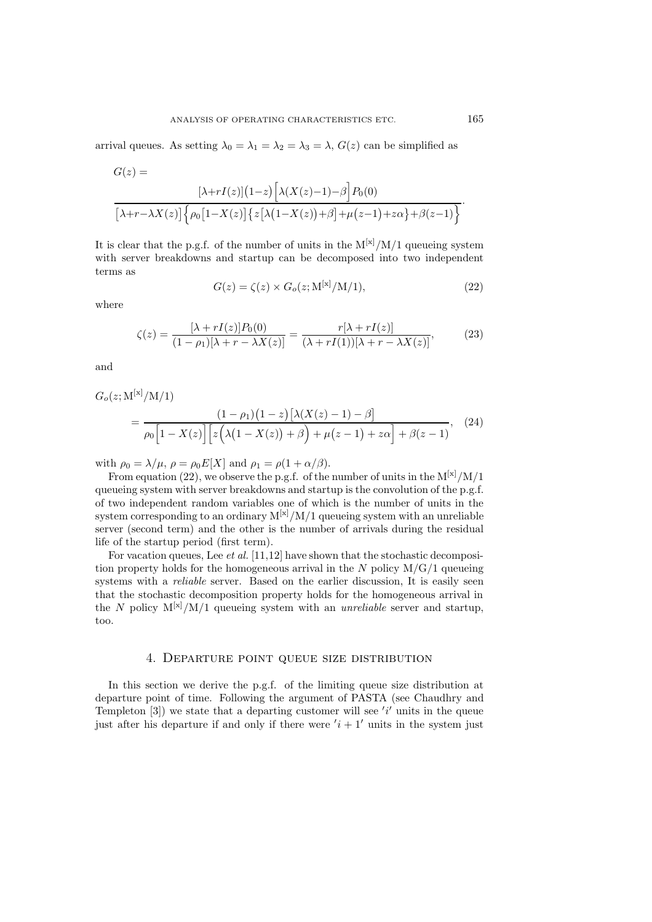arrival queues. As setting  $\lambda_0 = \lambda_1 = \lambda_2 = \lambda_3 = \lambda$ ,  $G(z)$  can be simplified as

$$
G(z) =
$$

$$
\left[\lambda + rI(z)\right](1-z)\left[\lambda(X(z)-1) - \beta\right]P_0(0)
$$

$$
\left[\lambda + r - \lambda X(z)\right]\left\{\rho_0\left[1 - X(z)\right]\left\{z\left[\lambda\left(1 - X(z)\right) + \beta\right] + \mu(z-1) + z\alpha\right\} + \beta(z-1)\right\}.
$$

It is clear that the p.g.f. of the number of units in the  $M^{[x]}/M/1$  queueing system with server breakdowns and startup can be decomposed into two independent terms as

$$
G(z) = \zeta(z) \times G_o(z; \mathcal{M}^{[\mathbf{x}]} / \mathcal{M} / 1), \tag{22}
$$

where

$$
\zeta(z) = \frac{[\lambda + rI(z)]P_0(0)}{(1 - \rho_1)[\lambda + r - \lambda X(z)]} = \frac{r[\lambda + rI(z)]}{(\lambda + rI(1))[\lambda + r - \lambda X(z)]},\tag{23}
$$

and

$$
G_o(z; \mathbf{M}^{[\mathbf{x}]}/\mathbf{M}/1)
$$
  
= 
$$
\frac{(1 - \rho_1)(1 - z)[\lambda(X(z) - 1) - \beta]}{\rho_0 [1 - X(z)] [z(\lambda(1 - X(z)) + \beta) + \mu(z - 1) + z\alpha] + \beta(z - 1)},
$$
(24)

with  $\rho_0 = \lambda/\mu$ ,  $\rho = \rho_0 E[X]$  and  $\rho_1 = \rho(1 + \alpha/\beta)$ .

From equation (22), we observe the p.g.f. of the number of units in the  $M^{[x]}/M/1$ queueing system with server breakdowns and startup is the convolution of the p.g.f. of two independent random variables one of which is the number of units in the system corresponding to an ordinary  $M^{[x]}/M/1$  queueing system with an unreliable server (second term) and the other is the number of arrivals during the residual life of the startup period (first term).

For vacation queues, Lee *et al.* [11,12] have shown that the stochastic decomposition property holds for the homogeneous arrival in the N policy  $M/G/1$  queueing systems with a *reliable* server. Based on the earlier discussion, It is easily seen that the stochastic decomposition property holds for the homogeneous arrival in the N policy  $M^{[x]}/M/1$  queueing system with an *unreliable* server and startup, too.

#### 4. Departure point queue size distribution

In this section we derive the p.g.f. of the limiting queue size distribution at departure point of time. Following the argument of PASTA (see Chaudhry and Templeton  $[3]$ ) we state that a departing customer will see 'i' units in the queue just after his departure if and only if there were  $'i + 1'$  units in the system just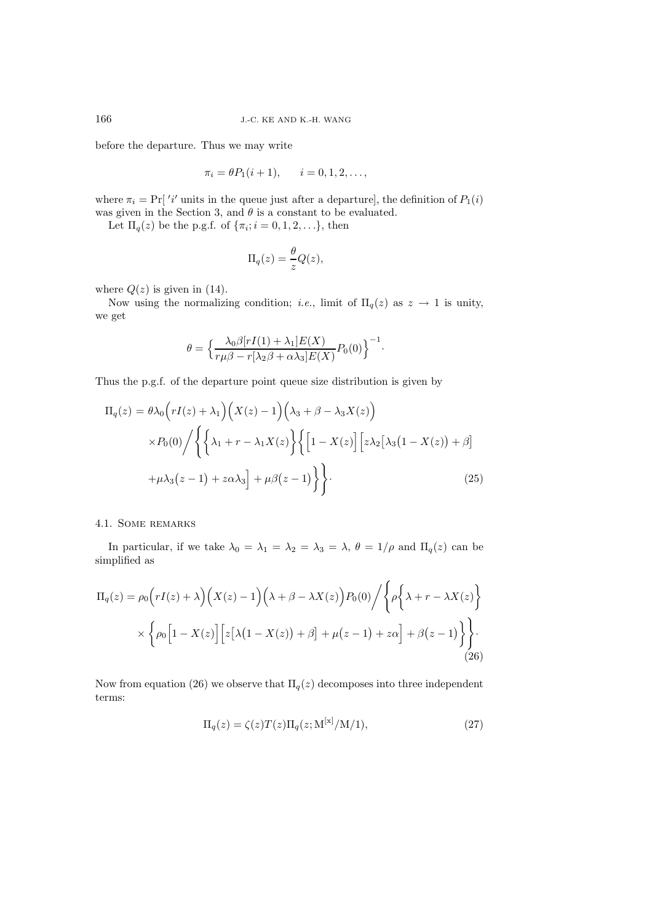before the departure. Thus we may write

$$
\pi_i = \theta P_1(i + 1), \qquad i = 0, 1, 2, \dots,
$$

where  $\pi_i = \Pr[\iota'$  units in the queue just after a departure], the definition of  $P_1(i)$ was given in the Section 3, and  $\theta$  is a constant to be evaluated.

Let  $\Pi_q(z)$  be the p.g.f. of  $\{\pi_i; i = 0, 1, 2, \ldots\}$ , then

$$
\Pi_q(z) = \frac{\theta}{z} Q(z),
$$

where  $Q(z)$  is given in (14).

Now using the normalizing condition; *i.e.*, limit of  $\Pi_q(z)$  as  $z \to 1$  is unity, we get

$$
\theta = \Big\{ \frac{\lambda_0 \beta [rI(1) + \lambda_1] E(X)}{r \mu \beta - r[\lambda_2 \beta + \alpha \lambda_3] E(X)} P_0(0) \Big\}^{-1}.
$$

Thus the p.g.f. of the departure point queue size distribution is given by

$$
\Pi_q(z) = \theta \lambda_0 \left( rI(z) + \lambda_1 \right) \left( X(z) - 1 \right) \left( \lambda_3 + \beta - \lambda_3 X(z) \right)
$$
  
 
$$
\times P_0(0) / \left\{ \left\{ \lambda_1 + r - \lambda_1 X(z) \right\} \left\{ \left[ 1 - X(z) \right] \left[ z \lambda_2 \left[ \lambda_3 (1 - X(z)) + \beta \right] \right] + \mu \lambda_3 (z - 1) + z \alpha \lambda_3 \right\} + \mu \beta (z - 1) \right\} \right\}.
$$
 (25)

# 4.1. Some remarks

In particular, if we take  $\lambda_0 = \lambda_1 = \lambda_2 = \lambda_3 = \lambda$ ,  $\theta = 1/\rho$  and  $\Pi_q(z)$  can be simplified as

$$
\Pi_q(z) = \rho_0 \left( rI(z) + \lambda \right) \left( X(z) - 1 \right) \left( \lambda + \beta - \lambda X(z) \right) P_0(0) / \left\{ \rho \left\{ \lambda + r - \lambda X(z) \right\} \times \left\{ \rho_0 \left[ 1 - X(z) \right] \left[ z \left[ \lambda \left( 1 - X(z) \right) + \beta \right] + \mu (z - 1) + z \alpha \right] + \beta (z - 1) \right\} \right\}.
$$
\n(26)

Now from equation (26) we observe that  $\Pi_q(z)$  decomposes into three independent terms:

$$
\Pi_q(z) = \zeta(z) T(z) \Pi_q(z; \mathcal{M}^{[\mathbf{x}]} / \mathcal{M}/1),\tag{27}
$$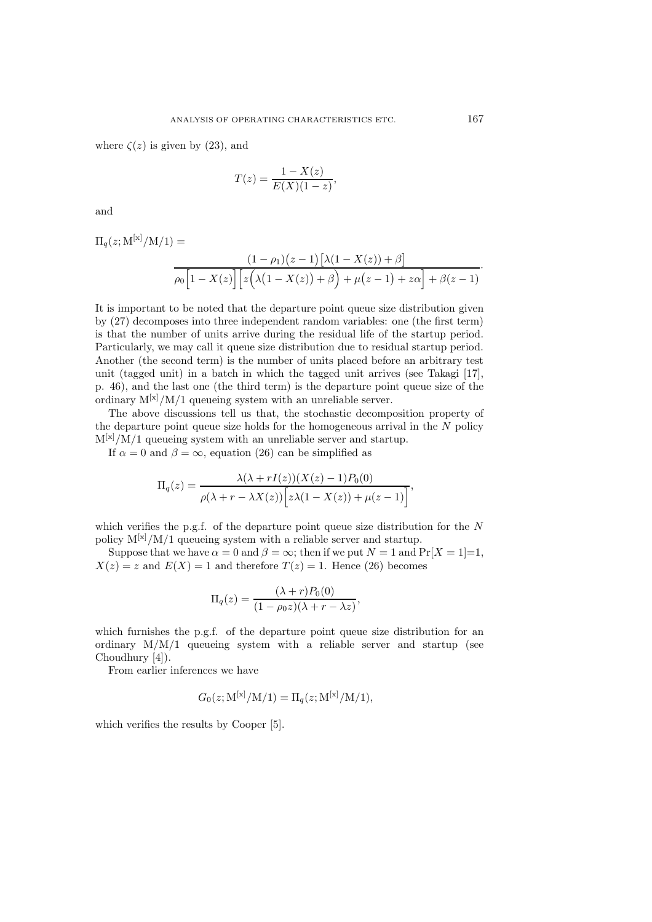where  $\zeta(z)$  is given by (23), and

$$
T(z) = \frac{1 - X(z)}{E(X)(1 - z)},
$$

and

$$
\Pi_q(z; \mathbf{M}^{[\mathbf{x}]}/\mathbf{M}/1) = \frac{(1-\rho_1)(z-1)[\lambda(1-X(z))+\beta]}{\rho_0[1-X(z)][z(\lambda(1-X(z))+\beta)+\mu(z-1)+z\alpha]+\beta(z-1)}
$$

It is important to be noted that the departure point queue size distribution given by (27) decomposes into three independent random variables: one (the first term) is that the number of units arrive during the residual life of the startup period. Particularly, we may call it queue size distribution due to residual startup period. Another (the second term) is the number of units placed before an arbitrary test unit (tagged unit) in a batch in which the tagged unit arrives (see Takagi [17], p. 46), and the last one (the third term) is the departure point queue size of the ordinary  $M^{[x]}/M/1$  queueing system with an unreliable server.

The above discussions tell us that, the stochastic decomposition property of the departure point queue size holds for the homogeneous arrival in the  $N$  policy  $M^{[x]}/M/1$  queueing system with an unreliable server and startup.

If  $\alpha = 0$  and  $\beta = \infty$ , equation (26) can be simplified as

$$
\Pi_q(z) = \frac{\lambda(\lambda + rI(z))(X(z) - 1)P_0(0)}{\rho(\lambda + r - \lambda X(z))\Big[z\lambda(1 - X(z)) + \mu(z - 1)\Big]},
$$

which verifies the p.g.f. of the departure point queue size distribution for the  $N$ policy  $M^{[x]}/M/1$  queueing system with a reliable server and startup.

Suppose that we have  $\alpha = 0$  and  $\beta = \infty$ ; then if we put  $N = 1$  and  $Pr[X = 1]=1$ ,  $X(z) = z$  and  $E(X) = 1$  and therefore  $T(z) = 1$ . Hence (26) becomes

$$
\Pi_q(z) = \frac{(\lambda + r)P_0(0)}{(1 - \rho_0 z)(\lambda + r - \lambda z)},
$$

which furnishes the p.g.f. of the departure point queue size distribution for an ordinary  $M/M/1$  queueing system with a reliable server and startup (see Choudhury [4]).

From earlier inferences we have

$$
G_0(z; M^{[x]}/M/1) = \Pi_q(z; M^{[x]}/M/1),
$$

which verifies the results by Cooper [5].

·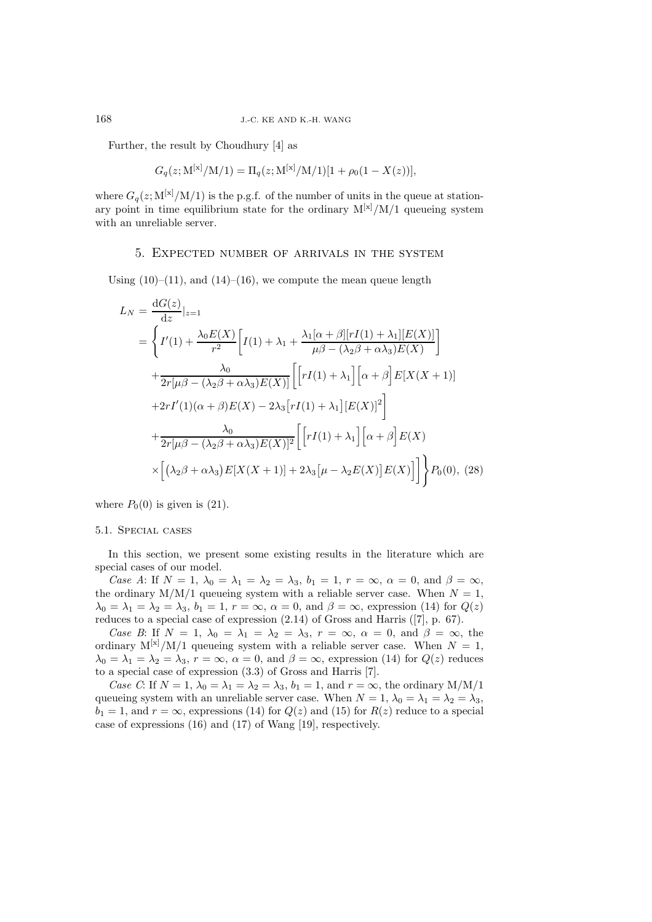Further, the result by Choudhury [4] as

$$
G_q(z;M^{[x]}/M/1) = \Pi_q(z;M^{[x]}/M/1)[1 + \rho_0(1 - X(z))],
$$

where  $G_q(z; M^{[\mathbf{x}]} / M/1)$  is the p.g.f. of the number of units in the queue at stationary point in time equilibrium state for the ordinary  $M^{[x]}/M/1$  queueing system with an unreliable server.

## 5. Expected number of arrivals in the system

Using  $(10)$ – $(11)$ , and  $(14)$ – $(16)$ , we compute the mean queue length

$$
L_N = \frac{dG(z)}{dz}|_{z=1}
$$
  
= 
$$
\left\{ I'(1) + \frac{\lambda_0 E(X)}{r^2} \left[ I(1) + \lambda_1 + \frac{\lambda_1 [\alpha + \beta][rI(1) + \lambda_1][E(X)]}{\mu \beta - (\lambda_2 \beta + \alpha \lambda_3)E(X)} \right] + \frac{\lambda_0}{2r[\mu \beta - (\lambda_2 \beta + \alpha \lambda_3)E(X)]} \left[ \left[ rI(1) + \lambda_1 \right] \left[ \alpha + \beta \right] E[X(X+1)] + 2rI'(1)(\alpha + \beta)E(X) - 2\lambda_3 \left[ rI(1) + \lambda_1 \right] \left[ E(X) \right]^2 \right] + \frac{\lambda_0}{2r[\mu \beta - (\lambda_2 \beta + \alpha \lambda_3)E(X)]^2} \left[ \left[ rI(1) + \lambda_1 \right] \left[ \alpha + \beta \right] E(X) \right] \times \left[ (\lambda_2 \beta + \alpha \lambda_3) E[X(X+1)] + 2\lambda_3 \left[ \mu - \lambda_2 E(X) \right] E(X) \right] \right\} P_0(0), (28)
$$

where  $P_0(0)$  is given is (21).

#### 5.1. Special cases

In this section, we present some existing results in the literature which are special cases of our model.

*Case A*: If  $N = 1$ ,  $\lambda_0 = \lambda_1 = \lambda_2 = \lambda_3$ ,  $b_1 = 1$ ,  $r = \infty$ ,  $\alpha = 0$ , and  $\beta = \infty$ , the ordinary  $M/M/1$  queueing system with a reliable server case. When  $N = 1$ ,  $\lambda_0 = \lambda_1 = \lambda_2 = \lambda_3$ ,  $b_1 = 1$ ,  $r = \infty$ ,  $\alpha = 0$ , and  $\beta = \infty$ , expression (14) for  $Q(z)$ reduces to a special case of expression (2.14) of Gross and Harris ([7], p. 67).

*Case B*: If  $N = 1$ ,  $\lambda_0 = \lambda_1 = \lambda_2 = \lambda_3$ ,  $r = \infty$ ,  $\alpha = 0$ , and  $\beta = \infty$ , the ordinary  $M^{[x]}/M/1$  queueing system with a reliable server case. When  $N = 1$ ,  $\lambda_0 = \lambda_1 = \lambda_2 = \lambda_3$ ,  $r = \infty$ ,  $\alpha = 0$ , and  $\beta = \infty$ , expression (14) for  $Q(z)$  reduces to a special case of expression (3.3) of Gross and Harris [7].

*Case C*: If  $N = 1$ ,  $\lambda_0 = \lambda_1 = \lambda_2 = \lambda_3$ ,  $b_1 = 1$ , and  $r = \infty$ , the ordinary M/M/1 queueing system with an unreliable server case. When  $N = 1$ ,  $\lambda_0 = \lambda_1 = \lambda_2 = \lambda_3$ ,  $b_1 = 1$ , and  $r = \infty$ , expressions (14) for  $Q(z)$  and (15) for  $R(z)$  reduce to a special case of expressions (16) and (17) of Wang [19], respectively.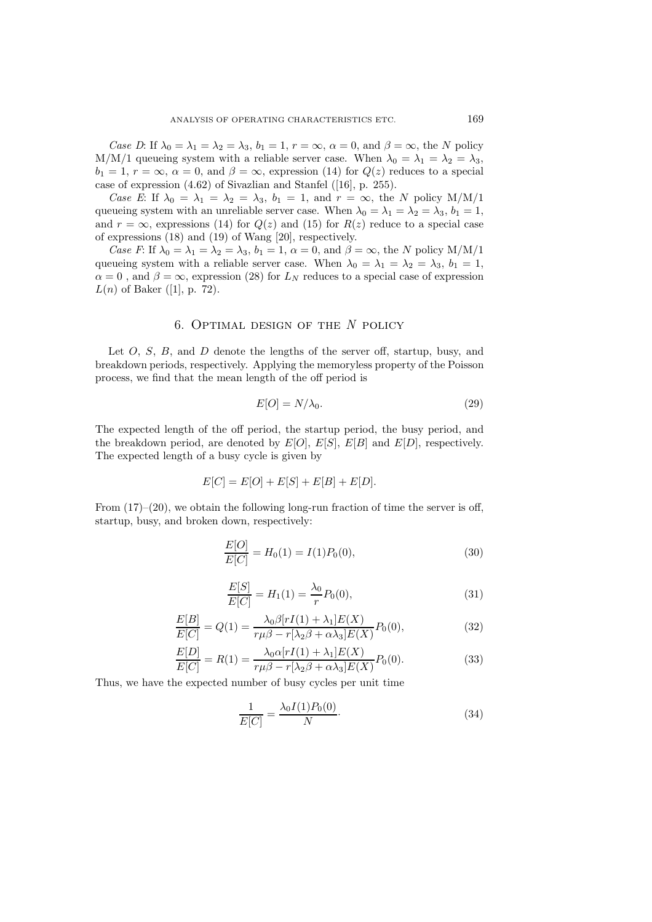*Case D*: If  $\lambda_0 = \lambda_1 = \lambda_2 = \lambda_3$ ,  $b_1 = 1$ ,  $r = \infty$ ,  $\alpha = 0$ , and  $\beta = \infty$ , the N policy M/M/1 queueing system with a reliable server case. When  $\lambda_0 = \lambda_1 = \lambda_2 = \lambda_3$ ,  $b_1 = 1, r = \infty, \alpha = 0, \text{ and } \beta = \infty$ , expression (14) for  $Q(z)$  reduces to a special case of expression (4.62) of Sivazlian and Stanfel ([16], p. 255).

*Case E*: If  $\lambda_0 = \lambda_1 = \lambda_2 = \lambda_3$ ,  $b_1 = 1$ , and  $r = \infty$ , the N policy M/M/1 queueing system with an unreliable server case. When  $\lambda_0 = \lambda_1 = \lambda_2 = \lambda_3$ ,  $b_1 = 1$ , and  $r = \infty$ , expressions (14) for  $Q(z)$  and (15) for  $R(z)$  reduce to a special case of expressions (18) and (19) of Wang [20], respectively.

*Case F*: If  $\lambda_0 = \lambda_1 = \lambda_2 = \lambda_3$ ,  $b_1 = 1$ ,  $\alpha = 0$ , and  $\beta = \infty$ , the N policy M/M/1 queueing system with a reliable server case. When  $\lambda_0 = \lambda_1 = \lambda_2 = \lambda_3$ ,  $b_1 = 1$ ,  $\alpha = 0$ , and  $\beta = \infty$ , expression (28) for  $L_N$  reduces to a special case of expression  $L(n)$  of Baker ([1], p. 72).

# 6. Optimal design of the N policy

Let  $O, S, B$ , and  $D$  denote the lengths of the server off, startup, busy, and breakdown periods, respectively. Applying the memoryless property of the Poisson process, we find that the mean length of the off period is

$$
E[O] = N/\lambda_0. \tag{29}
$$

The expected length of the off period, the startup period, the busy period, and the breakdown period, are denoted by  $E[O], E[S], E[B]$  and  $E[D],$  respectively. The expected length of a busy cycle is given by

$$
E[C] = E[O] + E[S] + E[B] + E[D].
$$

From  $(17)–(20)$ , we obtain the following long-run fraction of time the server is off, startup, busy, and broken down, respectively:

$$
\frac{E[O]}{E[C]} = H_0(1) = I(1)P_0(0),\tag{30}
$$

$$
\frac{E[S]}{E[C]} = H_1(1) = \frac{\lambda_0}{r} P_0(0),\tag{31}
$$

$$
\frac{E[B]}{E[C]} = Q(1) = \frac{\lambda_0 \beta [rI(1) + \lambda_1] E(X)}{r \mu \beta - r[\lambda_2 \beta + \alpha \lambda_3] E(X)} P_0(0),
$$
\n(32)

$$
\frac{E[D]}{E[C]} = R(1) = \frac{\lambda_0 \alpha [rI(1) + \lambda_1] E(X)}{r \mu \beta - r[\lambda_2 \beta + \alpha \lambda_3] E(X)} P_0(0). \tag{33}
$$

Thus, we have the expected number of busy cycles per unit time

$$
\frac{1}{E[C]} = \frac{\lambda_0 I(1) P_0(0)}{N}.
$$
\n(34)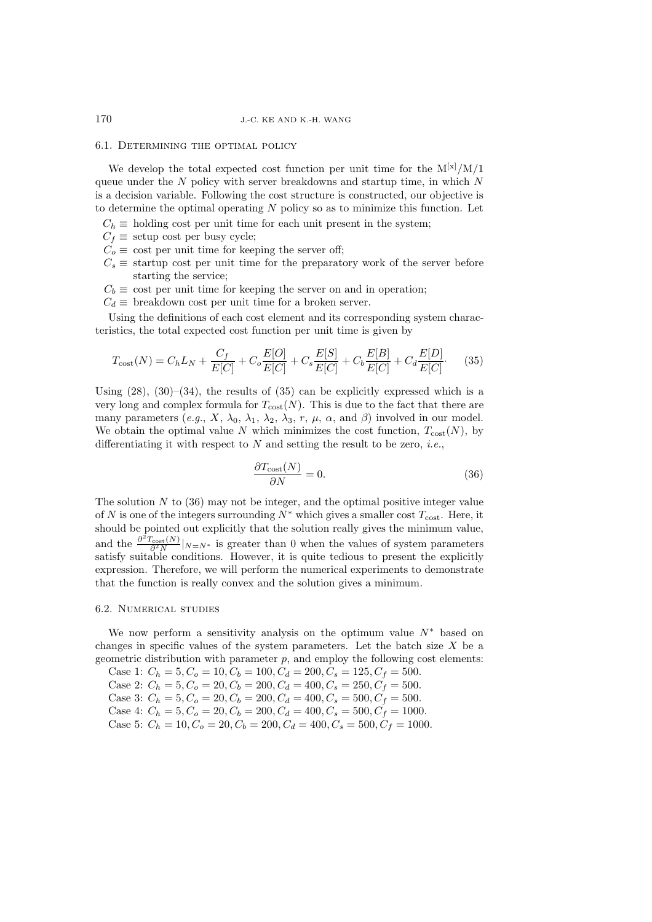#### 6.1. Determining the optimal policy

We develop the total expected cost function per unit time for the  $M^{[x]}/M/1$ queue under the  $N$  policy with server breakdowns and startup time, in which  $N$ is a decision variable. Following the cost structure is constructed, our objective is to determine the optimal operating  $N$  policy so as to minimize this function. Let

 $C_h \equiv$  holding cost per unit time for each unit present in the system;

- $C_f \equiv$  setup cost per busy cycle;
- $C_o \equiv \text{ cost per unit time for keeping the server off};$
- $C_s \equiv$  startup cost per unit time for the preparatory work of the server before starting the service;
- $C_b \equiv \text{cost per unit time for keeping the server on and in operation};$
- $C_d \equiv$  breakdown cost per unit time for a broken server.

Using the definitions of each cost element and its corresponding system characteristics, the total expected cost function per unit time is given by

$$
T_{\text{cost}}(N) = C_h L_N + \frac{C_f}{E[C]} + C_o \frac{E[O]}{E[C]} + C_s \frac{E[S]}{E[C]} + C_b \frac{E[B]}{E[C]} + C_d \frac{E[D]}{E[C]}.
$$
 (35)

Using  $(28)$ ,  $(30)$ – $(34)$ , the results of  $(35)$  can be explicitly expressed which is a very long and complex formula for  $T_{\text{cost}}(N)$ . This is due to the fact that there are many parameters (*e.g.*,  $X$ ,  $\lambda_0$ ,  $\lambda_1$ ,  $\lambda_2$ ,  $\lambda_3$ ,  $r$ ,  $\mu$ ,  $\alpha$ , and  $\beta$ ) involved in our model. We obtain the optimal value N which minimizes the cost function,  $T_{\text{cost}}(N)$ , by differentiating it with respect to N and setting the result to be zero, *i.e.*,

$$
\frac{\partial T_{\text{cost}}(N)}{\partial N} = 0.
$$
\n(36)

The solution  $N$  to  $(36)$  may not be integer, and the optimal positive integer value of N is one of the integers surrounding  $N^*$  which gives a smaller cost  $T_{\text{cost}}$ . Here, it should be pointed out explicitly that the solution really gives the minimum value, and the  $\frac{\partial^2 T_{\text{cost}}(N)}{\partial^2 N}|_{N=N^*}$  is greater than 0 when the values of system parameters satisfy suitable conditions. However, it is quite tedious to present the explicitly expression. Therefore, we will perform the numerical experiments to demonstrate that the function is really convex and the solution gives a minimum.

#### 6.2. Numerical studies

We now perform a sensitivity analysis on the optimum value  $N^*$  based on changes in specific values of the system parameters. Let the batch size  $X$  be a geometric distribution with parameter  $p$ , and employ the following cost elements:

Case 1:  $C_h = 5, C_o = 10, C_b = 100, C_d = 200, C_s = 125, C_f = 500.$ Case 2:  $C_h = 5, C_o = 20, C_b = 200, C_d = 400, C_s = 250, C_f = 500.$ Case 3:  $C_h = 5, C_o = 20, C_b = 200, C_d = 400, C_s = 500, C_f = 500.$ Case 4:  $C_h = 5, C_o = 20, C_b = 200, C_d = 400, C_s = 500, C_f = 1000.$ Case 5:  $C_h = 10, C_o = 20, C_b = 200, C_d = 400, C_s = 500, C_f = 1000.$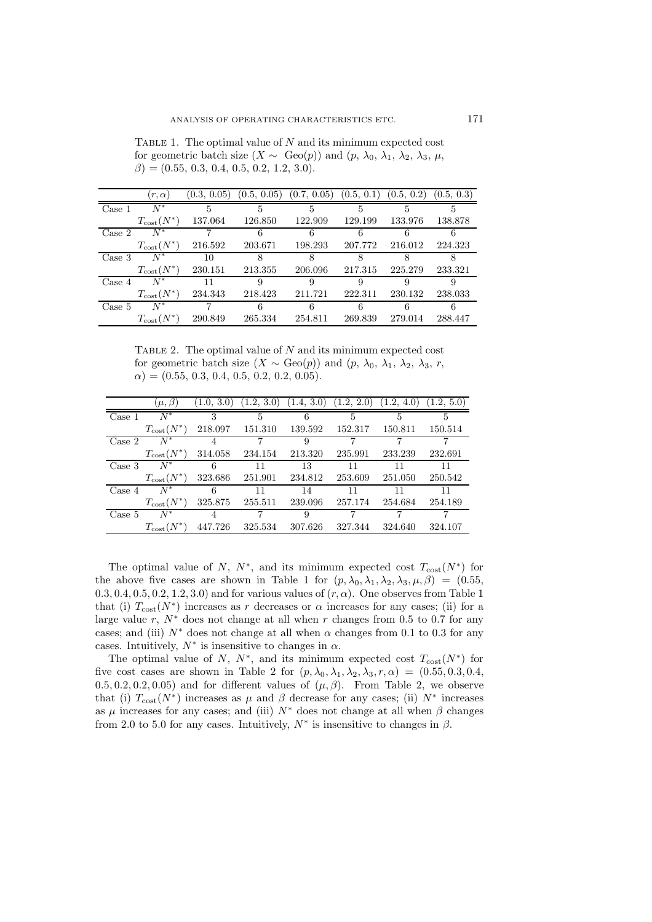TABLE 1. The optimal value of  $N$  and its minimum expected cost for geometric batch size  $(X \sim \text{Geo}(p))$  and  $(p, \lambda_0, \lambda_1, \lambda_2, \lambda_3, \mu,$  $\beta$ ) = (0.55, 0.3, 0.4, 0.5, 0.2, 1.2, 3.0).

|                  | $(r, \alpha)$          | (0.3, 0.05) | (0.5, 0.05) | (0.7, 0.05) | (0.5, 0.1) | (0.5, 0.2) | (0.5, 0.3) |
|------------------|------------------------|-------------|-------------|-------------|------------|------------|------------|
| Case 1           | $N^*$                  | 5           | 5           | 5           | 5          | 5          | 5          |
|                  | $T_{\text{cost}}(N^*)$ | 137.064     | 126.850     | 122.909     | 129.199    | 133.976    | 138.878    |
| Case 2           | $N^*$                  |             |             |             |            |            |            |
|                  | $T_{\text{cost}}(N^*)$ | 216.592     | 203.671     | 198.293     | 207.772    | 216.012    | 224.323    |
| Case 3           | $N^*$                  | 10          | 8           | Χ           | 8          |            |            |
|                  | $T_{\text{cost}}(N^*)$ | 230.151     | 213.355     | 206.096     | 217.315    | 225.279    | 233.321    |
| Case 4           | $N^*$                  | 11          | 9           | 9           | 9          |            | 9          |
|                  | $T_{\text{cost}}(N^*)$ | 234.343     | 218.423     | 211.721     | 222.311    | 230.132    | 238.033    |
| $\text{Case } 5$ | $N^*$                  |             |             | 6           | 6          | 6          | 6          |
|                  | $T_{\text{cost}}(N^*)$ | 290.849     | 265.334     | 254.811     | 269.839    | 279.014    | 288.447    |

TABLE 2. The optimal value of  $N$  and its minimum expected cost for geometric batch size  $(X \sim \text{Geo}(p))$  and  $(p, \lambda_0, \lambda_1, \lambda_2, \lambda_3, r,$  $\alpha$ ) = (0.55, 0.3, 0.4, 0.5, 0.2, 0.2, 0.05).

|                  | $(\mu, \beta)$         |         | $(1.0, 3.0)$ $(1.2, 3.0)$ $(1.4, 3.0)$ $(1.2, 2.0)$ $(1.2, 4.0)$ |         |         |         | (1.2, 5.0) |
|------------------|------------------------|---------|------------------------------------------------------------------|---------|---------|---------|------------|
| Case 1           | $N^*$                  | 3       | 5                                                                | 6       | 5       | 5       | 5          |
|                  | $T_{\text{cost}}(N^*)$ | 218.097 | 151.310                                                          | 139.592 | 152.317 | 150.811 | 150.514    |
| Case 2           | $N^*$                  | 4       |                                                                  | 9       |         |         |            |
|                  | $T_{\text{cost}}(N^*)$ | 314.058 | 234.154                                                          | 213.320 | 235.991 | 233.239 | 232.691    |
| Case 3           | $N^*$                  | - 6     | 11                                                               | 13      | 11      | 11      | 11         |
|                  | $T_{\text{cost}}(N^*)$ | 323.686 | 251.901                                                          | 234.812 | 253.609 | 251.050 | 250.542    |
| Case 4           | $N^*$                  | 6       | 11                                                               | 14      | 11      | 11      | 11         |
|                  | $T_{\text{cost}}(N^*)$ | 325.875 | 255.511                                                          | 239.096 | 257.174 | 254.684 | 254.189    |
| $\text{Case } 5$ | $N^*$                  | 4       |                                                                  | 9       |         |         |            |
|                  | $T_{\text{cost}}(N^*)$ | 447.726 | 325.534                                                          | 307.626 | 327.344 | 324.640 | 324.107    |

The optimal value of N,  $N^*$ , and its minimum expected cost  $T_{\text{cost}}(N^*)$  for the above five cases are shown in Table 1 for  $(p, \lambda_0, \lambda_1, \lambda_2, \lambda_3, \mu, \beta) = (0.55,$  $(0.3, 0.4, 0.5, 0.2, 1.2, 3.0)$  and for various values of  $(r, \alpha)$ . One observes from Table 1 that (i)  $T_{\text{cost}}(N^*)$  increases as r decreases or  $\alpha$  increases for any cases; (ii) for a large value r,  $N^*$  does not change at all when r changes from 0.5 to 0.7 for any cases; and (iii)  $N^*$  does not change at all when  $\alpha$  changes from 0.1 to 0.3 for any cases. Intuitively,  $N^*$  is insensitive to changes in  $\alpha$ .

The optimal value of N,  $N^*$ , and its minimum expected cost  $T_{\text{cost}}(N^*)$  for five cost cases are shown in Table 2 for  $(p, \lambda_0, \lambda_1, \lambda_2, \lambda_3, r, \alpha) = (0.55, 0.3, 0.4,$  $(0.5, 0.2, 0.2, 0.05)$  and for different values of  $(\mu, \beta)$ . From Table 2, we observe that (i)  $T_{\text{cost}}(N^*)$  increases as  $\mu$  and  $\beta$  decrease for any cases; (ii)  $N^*$  increases as  $\mu$  increases for any cases; and (iii)  $N^*$  does not change at all when  $\beta$  changes from 2.0 to 5.0 for any cases. Intuitively,  $N^*$  is insensitive to changes in  $\beta$ .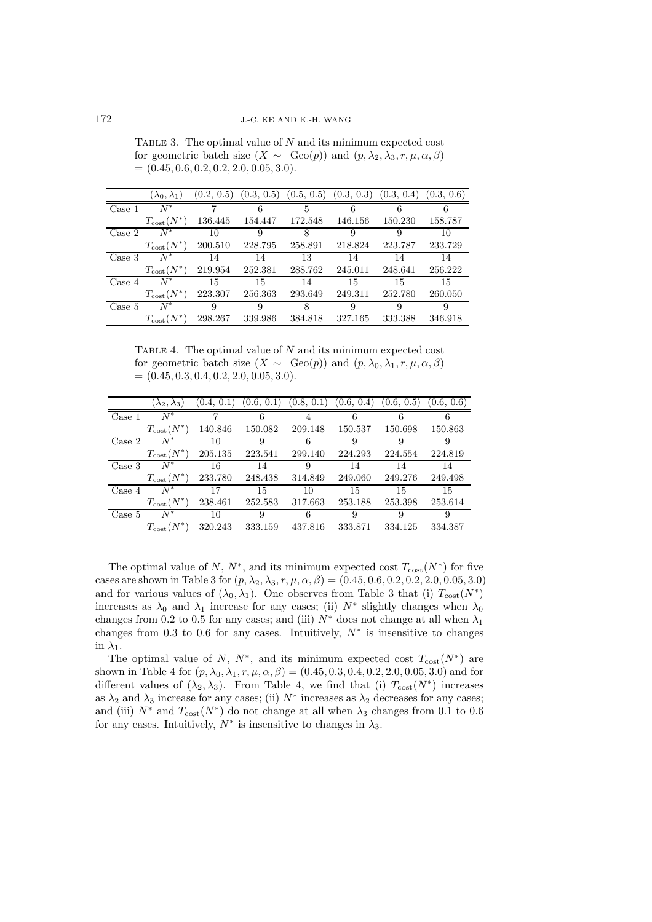TABLE 3. The optimal value of  $N$  and its minimum expected cost for geometric batch size  $(X \sim \text{Geo}(p))$  and  $(p, \lambda_2, \lambda_3, r, \mu, \alpha, \beta)$  $= (0.45, 0.6, 0.2, 0.2, 2.0, 0.05, 3.0).$ 

|                  | $(\lambda_0, \lambda_1)$ | (0.2, 0.5) |         |         | $(0.3, 0.5)$ $(0.5, 0.5)$ $(0.3, 0.3)$ | (0.3, 0.4) | (0.3, 0.6) |
|------------------|--------------------------|------------|---------|---------|----------------------------------------|------------|------------|
| Case 1           | $N^*$                    |            | 6       | 5       | 6                                      |            | 6          |
|                  | $T_{\text{cost}}(N^*)$   | 136.445    | 154.447 | 172.548 | 146.156                                | 150.230    | 158.787    |
| Case 2           | $N^*$                    | -10        | 9       | 8       | 9                                      | 9          | 10         |
|                  | $T_{\text{cost}}(N^*)$   | 200.510    | 228.795 | 258.891 | 218.824                                | 223.787    | 233.729    |
| Case 3           | $N^*$                    | 14         | 14      | 13      | 14                                     | 14         | 14         |
|                  | $T_{\text{cost}}(N^*)$   | 219.954    | 252.381 | 288.762 | 245.011                                | 248.641    | 256.222    |
| Case 4           | $N^*$                    | 15         | 15      | 14      | 15                                     | 15         | 15         |
|                  | $T_{\text{cost}}(N^*)$   | 223.307    | 256.363 | 293.649 | 249.311                                | 252.780    | 260.050    |
| $\text{Case } 5$ | $N^*$                    | 9          | 9       | 8       | 9                                      | 9          | 9          |
|                  | $T_{\text{cost}}(N^*)$   | 298.267    | 339.986 | 384.818 | 327.165                                | 333.388    | 346.918    |

TABLE 4. The optimal value of  $N$  and its minimum expected cost for geometric batch size  $(X \sim \text{Geo}(p))$  and  $(p, \lambda_0, \lambda_1, r, \mu, \alpha, \beta)$  $= (0.45, 0.3, 0.4, 0.2, 2.0, 0.05, 3.0).$ 

|        | $(\lambda_2, \lambda_3)$ | (0.4, 0.1) |         | $(0.6, 0.1)$ $(0.8, 0.1)$ $(0.6, 0.4)$ |         | (0.6, 0.5) | (0.6, 0.6) |
|--------|--------------------------|------------|---------|----------------------------------------|---------|------------|------------|
| Case 1 | $N^*$                    | 7          | 6       | 4                                      | 6       | 6          | 6          |
|        | $T_{\text{cost}}(N^*)$   | 140.846    | 150.082 | 209.148                                | 150.537 | 150.698    | 150.863    |
| Case 2 | $N^*$                    | 10         | 9       | 6                                      | 9       | 9          | 9          |
|        | $T_{\text{cost}}(N^*)$   | 205.135    | 223.541 | 299.140                                | 224.293 | 224.554    | 224.819    |
| Case 3 | $N^*$                    | 16         | 14      | 9                                      | 14      | 14         | 14         |
|        | $T_{\text{cost}}(N^*)$   | 233.780    | 248.438 | 314.849                                | 249.060 | 249.276    | 249.498    |
| Case 4 | $N^*$                    | 17         | 15      | 10                                     | 15      | 15         | 15         |
|        | $T_{\text{cost}}(N^*)$   | 238.461    | 252.583 | 317.663                                | 253.188 | 253.398    | 253.614    |
| Case 5 | $N^*$                    | 10         | 9       | 6                                      | 9       | 9          | 9          |
|        | $T_{\text{cost}}(N^*)$   | 320.243    | 333.159 | 437.816                                | 333.871 | 334.125    | 334.387    |

The optimal value of N,  $N^*$ , and its minimum expected cost  $T_{\text{cost}}(N^*)$  for five cases are shown in Table 3 for  $(p, \lambda_2, \lambda_3, r, \mu, \alpha, \beta) = (0.45, 0.6, 0.2, 0.2, 2.0, 0.05, 3.0)$ and for various values of  $(\lambda_0, \lambda_1)$ . One observes from Table 3 that (i)  $T_{\text{cost}}(N^*)$ increases as  $\lambda_0$  and  $\lambda_1$  increase for any cases; (ii)  $N^*$  slightly changes when  $\lambda_0$ changes from 0.2 to 0.5 for any cases; and (iii)  $N^*$  does not change at all when  $\lambda_1$ changes from 0.3 to 0.6 for any cases. Intuitively,  $N^*$  is insensitive to changes in  $\lambda_1$ .

The optimal value of N,  $N^*$ , and its minimum expected cost  $T_{\text{cost}}(N^*)$  are shown in Table 4 for  $(p, \lambda_0, \lambda_1, r, \mu, \alpha, \beta) = (0.45, 0.3, 0.4, 0.2, 2.0, 0.05, 3.0)$  and for different values of  $(\lambda_2, \lambda_3)$ . From Table 4, we find that (i)  $T_{\text{cost}}(N^*)$  increases as  $\lambda_2$  and  $\lambda_3$  increase for any cases; (ii)  $N^*$  increases as  $\lambda_2$  decreases for any cases; and (iii)  $N^*$  and  $T_{\text{cost}}(N^*)$  do not change at all when  $\lambda_3$  changes from 0.1 to 0.6 for any cases. Intuitively,  $N^*$  is insensitive to changes in  $\lambda_3$ .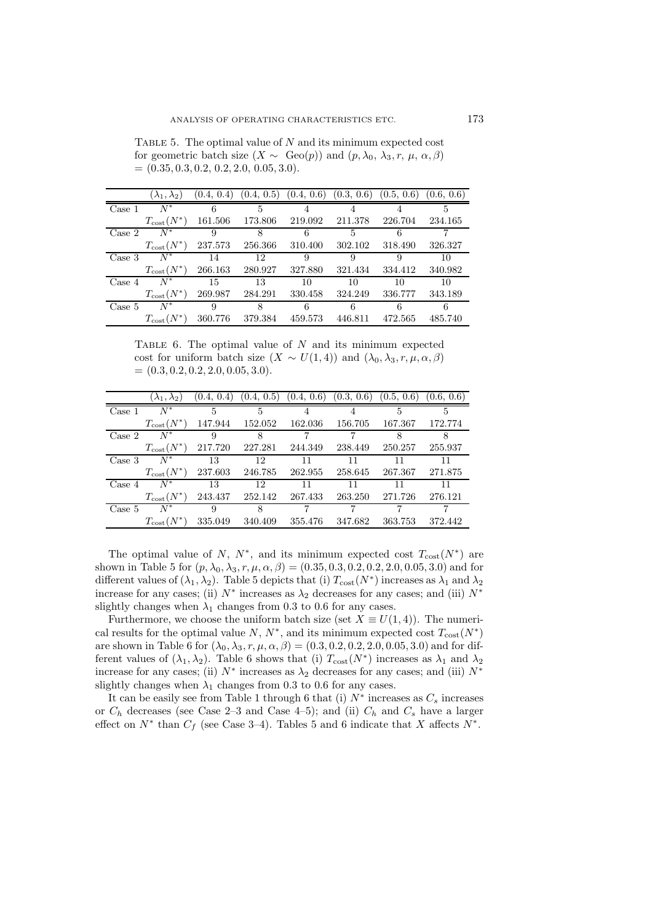TABLE 5. The optimal value of  $N$  and its minimum expected cost for geometric batch size  $(X \sim \text{Geo}(p))$  and  $(p, \lambda_0, \lambda_3, r, \mu, \alpha, \beta)$  $= (0.35, 0.3, 0.2, 0.2, 2.0, 0.05, 3.0).$ 

|                  | $(\lambda_1, \lambda_2)$ | (0.4, 0.4) |         | $(0.4, 0.5)$ $(0.4, 0.6)$ $(0.3, 0.6)$ $(0.5, 0.6)$ $(0.6, 0.6)$ |         |         |         |
|------------------|--------------------------|------------|---------|------------------------------------------------------------------|---------|---------|---------|
| Case 1           | $N^*$                    | 6          | 5       |                                                                  |         |         | 5       |
|                  | $T_{\text{cost}}(N^*)$   | 161.506    | 173.806 | 219.092                                                          | 211.378 | 226.704 | 234.165 |
| $\text{Case} 2$  | $N^*$                    | 9          | 8       | 6                                                                | 5       | 6       |         |
|                  | $T_{\text{cost}}(N^*)$   | 237.573    | 256.366 | 310.400                                                          | 302.102 | 318.490 | 326.327 |
| Case 3           | $N^*$                    | 14         | 12      | 9                                                                | 9       | 9       | 10      |
|                  | $T_{\text{cost}}(N^*)$   | 266.163    | 280.927 | 327.880                                                          | 321.434 | 334.412 | 340.982 |
| Case 4           | $N^*$                    | 15         | 13      | 10                                                               | 10      | 10      | 10      |
|                  | $T_{\text{cost}}(N^*)$   | 269.987    | 284.291 | 330.458                                                          | 324.249 | 336.777 | 343.189 |
| $\text{Case } 5$ | $N^*$                    | 9          | 8       | 6                                                                | 6       | 6       | 6       |
|                  | $T_{\text{cost}}(N^*)$   | 360.776    | 379.384 | 459.573                                                          | 446.811 | 472.565 | 485.740 |

TABLE 6. The optimal value of  $N$  and its minimum expected cost for uniform batch size  $(X \sim U(1, 4))$  and  $(\lambda_0, \lambda_3, r, \mu, \alpha, \beta)$  $= (0.3, 0.2, 0.2, 2.0, 0.05, 3.0).$ 

|                 | $(\lambda_1, \lambda_2)$ | (0.4, 0.4) |         | $(0.4, 0.5)$ $(0.4, 0.6)$ $(0.3, 0.6)$ $(0.5, 0.6)$ $(0.6, 0.6)$ |         |         |         |
|-----------------|--------------------------|------------|---------|------------------------------------------------------------------|---------|---------|---------|
| Case 1          | $N^*$                    | 5          | 5       |                                                                  |         | 5       | 5       |
|                 | $T_{\text{cost}}(N^*)$   | 147.944    | 152.052 | 162.036                                                          | 156.705 | 167.367 | 172.774 |
| $\text{Case} 2$ | $N^*$                    | 9          | 8       | 7                                                                | 7       | 8       | 8       |
|                 | $T_{\rm cost}(N^*)$      | 217.720    | 227.281 | 244.349                                                          | 238.449 | 250.257 | 255.937 |
| Case 3          | $N^*$                    | 13         | 12      | 11                                                               | 11      | 11      | 11      |
|                 | $T_{\text{cost}}(N^*)$   | 237.603    | 246.785 | 262.955                                                          | 258.645 | 267.367 | 271.875 |
| Case 4          | $N^*$                    | 13         | 12      | 11                                                               | 11      | 11      | 11      |
|                 | $T_{\rm cost}(N^*)$      | 243.437    | 252.142 | 267.433                                                          | 263.250 | 271.726 | 276.121 |
| Case 5          | $N^*$                    | 9          | 8       |                                                                  |         |         |         |
|                 | $T_{\text{cost}}(N^*)$   | 335.049    | 340.409 | 355.476                                                          | 347.682 | 363.753 | 372.442 |

The optimal value of N,  $N^*$ , and its minimum expected cost  $T_{\text{cost}}(N^*)$  are shown in Table 5 for  $(p, \lambda_0, \lambda_3, r, \mu, \alpha, \beta) = (0.35, 0.3, 0.2, 0.2, 2.0, 0.05, 3.0)$  and for different values of  $(\lambda_1, \lambda_2)$ . Table 5 depicts that (i)  $T_{\text{cost}}(N^*)$  increases as  $\lambda_1$  and  $\lambda_2$ increase for any cases; (ii)  $N^*$  increases as  $\lambda_2$  decreases for any cases; and (iii)  $N^*$ slightly changes when  $\lambda_1$  changes from 0.3 to 0.6 for any cases.

Furthermore, we choose the uniform batch size (set  $X \equiv U(1, 4)$ ). The numerical results for the optimal value N,  $N^*$ , and its minimum expected cost  $T_{\text{cost}}(N^*)$ are shown in Table 6 for  $(\lambda_0, \lambda_3, r, \mu, \alpha, \beta) = (0.3, 0.2, 0.2, 2.0, 0.05, 3.0)$  and for different values of  $(\lambda_1, \lambda_2)$ . Table 6 shows that (i)  $T_{\text{cost}}(N^*)$  increases as  $\lambda_1$  and  $\lambda_2$ increase for any cases; (ii)  $N^*$  increases as  $\lambda_2$  decreases for any cases; and (iii)  $N^*$ slightly changes when  $\lambda_1$  changes from 0.3 to 0.6 for any cases.

It can be easily see from Table 1 through 6 that (i)  $N^*$  increases as  $C_s$  increases or  $C_h$  decreases (see Case 2–3 and Case 4–5); and (ii)  $C_h$  and  $C_s$  have a larger effect on  $N^*$  than  $C_f$  (see Case 3–4). Tables 5 and 6 indicate that X affects  $N^*$ .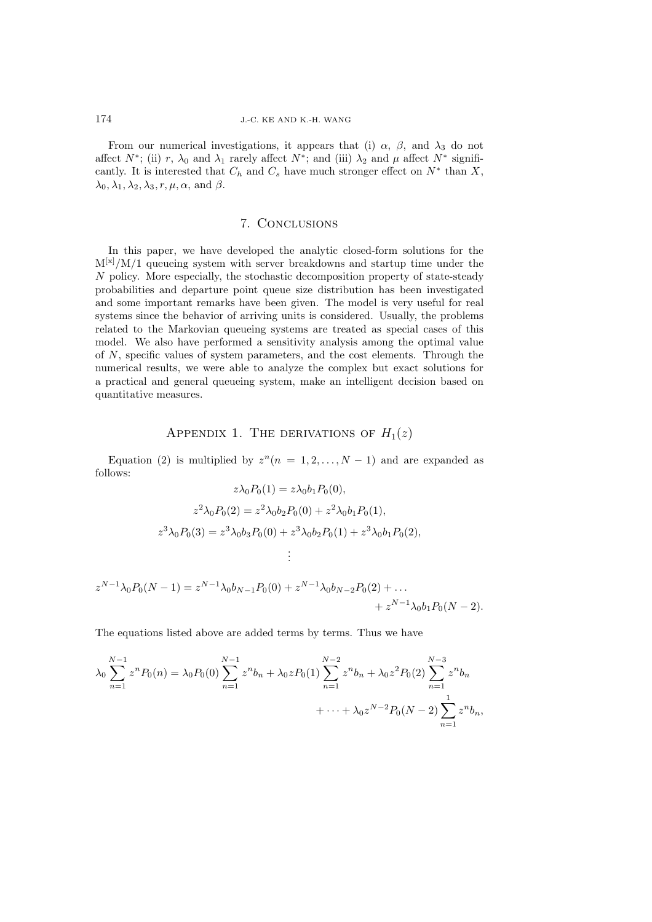From our numerical investigations, it appears that (i)  $\alpha$ ,  $\beta$ , and  $\lambda_3$  do not affect  $N^*$ ; (ii) r,  $\lambda_0$  and  $\lambda_1$  rarely affect  $N^*$ ; and (iii)  $\lambda_2$  and  $\mu$  affect  $N^*$  significantly. It is interested that  $C_h$  and  $C_s$  have much stronger effect on  $N^*$  than X,  $\lambda_0, \lambda_1, \lambda_2, \lambda_3, r, \mu, \alpha$ , and  $\beta$ .

# 7. Conclusions

In this paper, we have developed the analytic closed-form solutions for the  $M^{[x]}/M/1$  queueing system with server breakdowns and startup time under the N policy. More especially, the stochastic decomposition property of state-steady probabilities and departure point queue size distribution has been investigated and some important remarks have been given. The model is very useful for real systems since the behavior of arriving units is considered. Usually, the problems related to the Markovian queueing systems are treated as special cases of this model. We also have performed a sensitivity analysis among the optimal value of N, specific values of system parameters, and the cost elements. Through the numerical results, we were able to analyze the complex but exact solutions for a practical and general queueing system, make an intelligent decision based on quantitative measures.

## APPENDIX 1. THE DERIVATIONS OF  $H_1(z)$

Equation (2) is multiplied by  $z^n(n = 1, 2, ..., N - 1)$  and are expanded as follows:  $\Delta_0 P_0(1) = \gamma \Delta_0 h_1 P_0(0)$ 

$$
z\lambda_0 P_0(1) = z\lambda_0 o_1 P_0(0),
$$
  
\n
$$
z^2 \lambda_0 P_0(2) = z^2 \lambda_0 b_2 P_0(0) + z^2 \lambda_0 b_1 P_0(1),
$$
  
\n
$$
z^3 \lambda_0 P_0(3) = z^3 \lambda_0 b_3 P_0(0) + z^3 \lambda_0 b_2 P_0(1) + z^3 \lambda_0 b_1 P_0(2),
$$
  
\n
$$
\vdots
$$
  
\n
$$
z^{N-1} \lambda_0 P_0(N-1) = z^{N-1} \lambda_0 b_{N-1} P_0(0) + z^{N-1} \lambda_0 b_{N-2} P_0(2) + ...
$$

$$
+ z^{N-1} \lambda_0 b_1 P_0 (N-2).
$$

The equations listed above are added terms by terms. Thus we have

$$
\lambda_0 \sum_{n=1}^{N-1} z^n P_0(n) = \lambda_0 P_0(0) \sum_{n=1}^{N-1} z^n b_n + \lambda_0 z P_0(1) \sum_{n=1}^{N-2} z^n b_n + \lambda_0 z^2 P_0(2) \sum_{n=1}^{N-3} z^n b_n + \dots + \lambda_0 z^{N-2} P_0(N-2) \sum_{n=1}^{N-1} z^n b_n,
$$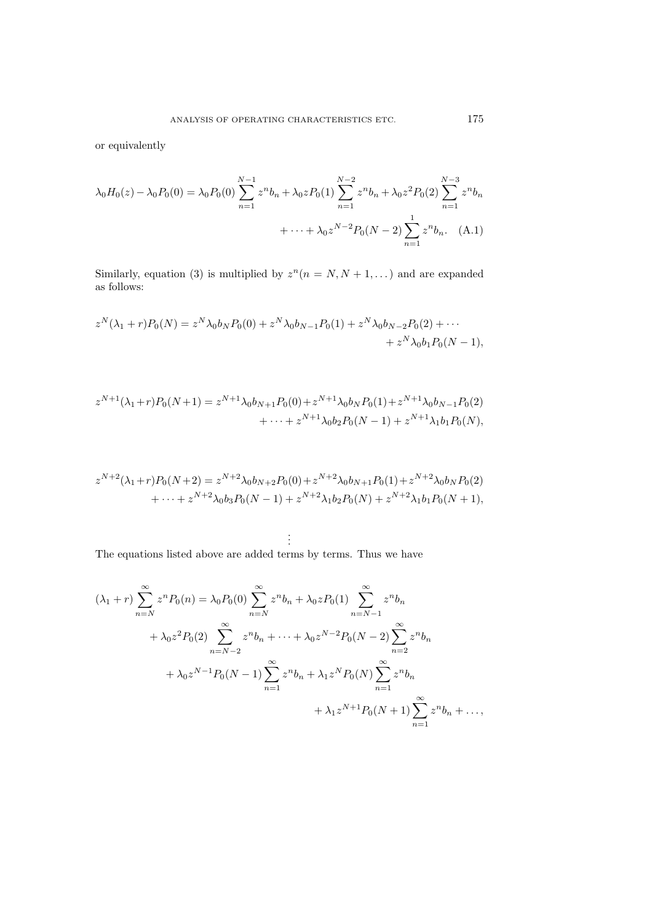or equivalently

$$
\lambda_0 H_0(z) - \lambda_0 P_0(0) = \lambda_0 P_0(0) \sum_{n=1}^{N-1} z^n b_n + \lambda_0 z P_0(1) \sum_{n=1}^{N-2} z^n b_n + \lambda_0 z^2 P_0(2) \sum_{n=1}^{N-3} z^n b_n
$$
  
+ ... +  $\lambda_0 z^{N-2} P_0(N-2) \sum_{n=1}^{N-1} z^n b_n$ . (A.1)

Similarly, equation (3) is multiplied by  $z^n(n = N, N + 1,...)$  and are expanded as follows:

$$
z^N(\lambda_1+r)P_0(N) = z^N \lambda_0 b_N P_0(0) + z^N \lambda_0 b_{N-1} P_0(1) + z^N \lambda_0 b_{N-2} P_0(2) + \cdots + z^N \lambda_0 b_1 P_0(N-1),
$$

$$
z^{N+1}(\lambda_1+r)P_0(N+1) = z^{N+1}\lambda_0b_{N+1}P_0(0) + z^{N+1}\lambda_0b_NP_0(1) + z^{N+1}\lambda_0b_{N-1}P_0(2) + \cdots + z^{N+1}\lambda_0b_2P_0(N-1) + z^{N+1}\lambda_1b_1P_0(N),
$$

$$
z^{N+2}(\lambda_1+r)P_0(N+2) = z^{N+2}\lambda_0b_{N+2}P_0(0) + z^{N+2}\lambda_0b_{N+1}P_0(1) + z^{N+2}\lambda_0b_NP_0(2) + \cdots + z^{N+2}\lambda_0b_3P_0(N-1) + z^{N+2}\lambda_1b_2P_0(N) + z^{N+2}\lambda_1b_1P_0(N+1),
$$

$$
\vdots
$$

The equations listed above are added terms by terms. Thus we have

$$
(\lambda_1 + r) \sum_{n=N}^{\infty} z^n P_0(n) = \lambda_0 P_0(0) \sum_{n=N}^{\infty} z^n b_n + \lambda_0 z P_0(1) \sum_{n=N-1}^{\infty} z^n b_n
$$
  
+  $\lambda_0 z^2 P_0(2) \sum_{n=N-2}^{\infty} z^n b_n + \dots + \lambda_0 z^{N-2} P_0(N-2) \sum_{n=2}^{\infty} z^n b_n$   
+  $\lambda_0 z^{N-1} P_0(N-1) \sum_{n=1}^{\infty} z^n b_n + \lambda_1 z^N P_0(N) \sum_{n=1}^{\infty} z^n b_n$   
+  $\lambda_1 z^{N+1} P_0(N+1) \sum_{n=1}^{\infty} z^n b_n + \dots,$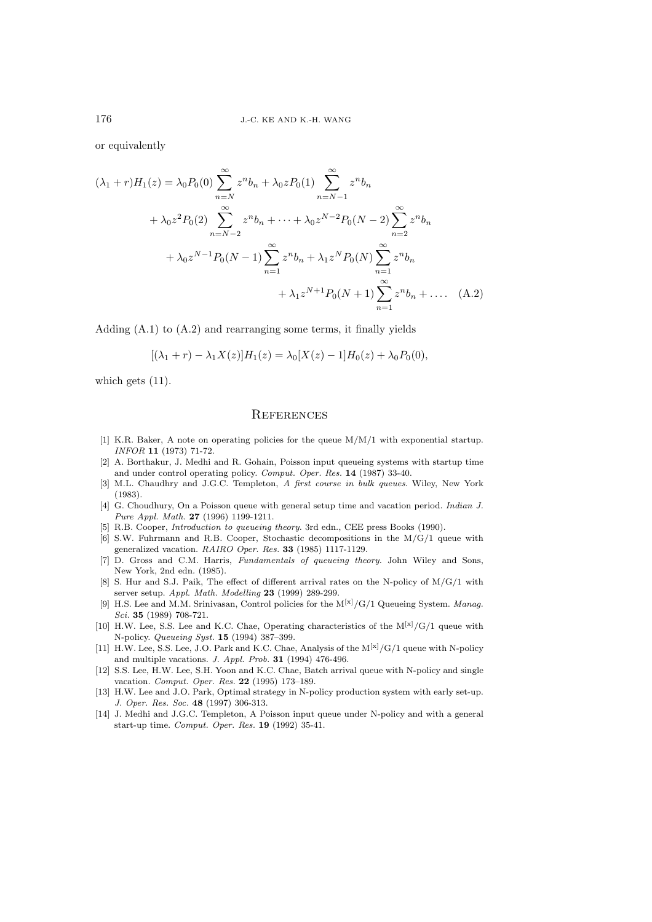or equivalently

$$
(\lambda_1 + r)H_1(z) = \lambda_0 P_0(0) \sum_{n=N}^{\infty} z^n b_n + \lambda_0 z P_0(1) \sum_{n=N-1}^{\infty} z^n b_n
$$
  
+  $\lambda_0 z^2 P_0(2) \sum_{n=N-2}^{\infty} z^n b_n + \dots + \lambda_0 z^{N-2} P_0(N-2) \sum_{n=2}^{\infty} z^n b_n$   
+  $\lambda_0 z^{N-1} P_0(N-1) \sum_{n=1}^{\infty} z^n b_n + \lambda_1 z^N P_0(N) \sum_{n=1}^{\infty} z^n b_n$   
+  $\lambda_1 z^{N+1} P_0(N+1) \sum_{n=1}^{\infty} z^n b_n + \dots$  (A.2)

Adding (A.1) to (A.2) and rearranging some terms, it finally yields

$$
[(\lambda_1 + r) - \lambda_1 X(z)]H_1(z) = \lambda_0[X(z) - 1]H_0(z) + \lambda_0 P_0(0),
$$

which gets  $(11)$ .

## **REFERENCES**

- [1] K.R. Baker, A note on operating policies for the queue  $M/M/1$  with exponential startup. INFOR **11** (1973) 71-72.
- [2] A. Borthakur, J. Medhi and R. Gohain, Poisson input queueing systems with startup time and under control operating policy. Comput. Oper. Res. **14** (1987) 33-40.
- [3] M.L. Chaudhry and J.G.C. Templeton, A first course in bulk queues. Wiley, New York (1983).
- [4] G. Choudhury, On a Poisson queue with general setup time and vacation period. Indian J. Pure Appl. Math. **27** (1996) 1199-1211.
- [5] R.B. Cooper, Introduction to queueing theory. 3rd edn., CEE press Books (1990).
- [6] S.W. Fuhrmann and R.B. Cooper, Stochastic decompositions in the M/G/1 queue with generalized vacation. RAIRO Oper. Res. **33** (1985) 1117-1129.
- [7] D. Gross and C.M. Harris, Fundamentals of queueing theory. John Wiley and Sons, New York, 2nd edn. (1985).
- [8] S. Hur and S.J. Paik, The effect of different arrival rates on the N-policy of M/G/1 with server setup. Appl. Math. Modelling **23** (1999) 289-299.
- [9] H.S. Lee and M.M. Srinivasan, Control policies for the  $M^{[x]}/G/1$  Queueing System. Manag. Sci. **35** (1989) 708-721.
- [10] H.W. Lee, S.S. Lee and K.C. Chae, Operating characteristics of the  $M^{[x]}/G/1$  queue with N-policy. Queueing Syst. **15** (1994) 387–399.
- [11] H.W. Lee, S.S. Lee, J.O. Park and K.C. Chae, Analysis of the  $M^{[x]}/G/1$  queue with N-policy and multiple vacations. J. Appl. Prob. **31** (1994) 476-496.
- [12] S.S. Lee, H.W. Lee, S.H. Yoon and K.C. Chae, Batch arrival queue with N-policy and single vacation. Comput. Oper. Res. **22** (1995) 173–189.
- [13] H.W. Lee and J.O. Park, Optimal strategy in N-policy production system with early set-up. J. Oper. Res. Soc. **48** (1997) 306-313.
- [14] J. Medhi and J.G.C. Templeton, A Poisson input queue under N-policy and with a general start-up time. Comput. Oper. Res. **19** (1992) 35-41.